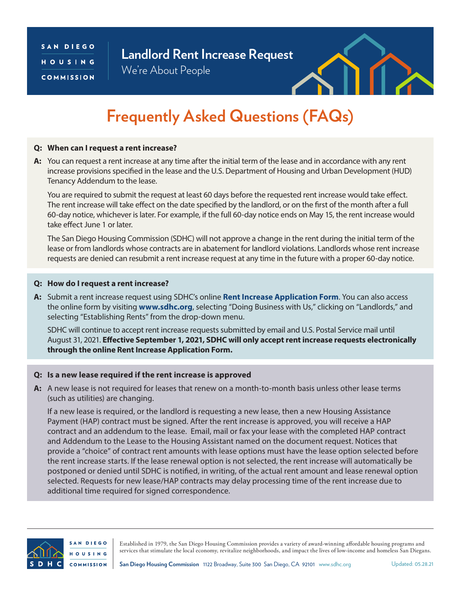### SAN DIEGO HOUSING COMMISSION

## **Landlord Rent Increase Request**

We're About People



# **Frequently Asked Questions (FAQs)**

#### **Q: When can I request a rent increase?**

**A:** You can request a rent increase at any time after the initial term of the lease and in accordance with any rent increase provisions specified in the lease and the U.S. Department of Housing and Urban Development (HUD) Tenancy Addendum to the lease.

You are required to submit the request at least 60 days before the requested rent increase would take effect. The rent increase will take effect on the date specified by the landlord, or on the first of the month after a full 60-day notice, whichever is later. For example, if the full 60-day notice ends on May 15, the rent increase would take effect June 1 or later.

The San Diego Housing Commission (SDHC) will not approve a change in the rent during the initial term of the lease or from landlords whose contracts are in abatement for landlord violations. Landlords whose rent increase requests are denied can resubmit a rent increase request at any time in the future with a proper 60-day notice.

#### **Q: How do I request a rent increase?**

**A:** Submit a rent increase request using SDHC's online **[Rent Increase Application Form](https://rentchange.sdhc.org/)**. You can also access the online form by visiting **[www.sdhc.org](http://www.sdhc.org)**, selecting "Doing Business with Us," clicking on "Landlords," and selecting "Establishing Rents" from the drop-down menu.

SDHC will continue to accept rent increase requests submitted by email and U.S. Postal Service mail until August 31, 2021. **Effective September 1, 2021, SDHC will only accept rent increase requests electronically through the online Rent Increase Application Form.**

#### **Q: Is a new lease required if the rent increase is approved**

**A:** A new lease is not required for leases that renew on a month-to-month basis unless other lease terms (such as utilities) are changing.

If a new lease is required, or the landlord is requesting a new lease, then a new Housing Assistance Payment (HAP) contract must be signed. After the rent increase is approved, you will receive a HAP contract and an addendum to the lease. Email, mail or fax your lease with the completed HAP contract and Addendum to the Lease to the Housing Assistant named on the document request. Notices that provide a "choice" of contract rent amounts with lease options must have the lease option selected before the rent increase starts. If the lease renewal option is not selected, the rent increase will automatically be postponed or denied until SDHC is notified, in writing, of the actual rent amount and lease renewal option selected. Requests for new lease/HAP contracts may delay processing time of the rent increase due to additional time required for signed correspondence.



SAN DIEGO **HOUSING COMMISSION** 

Established in 1979, the San Diego Housing Commission provides a variety of award-winning affordable housing programs and services that stimulate the local economy, revitalize neighborhoods, and impact the lives of low-income and homeless San Diegans.